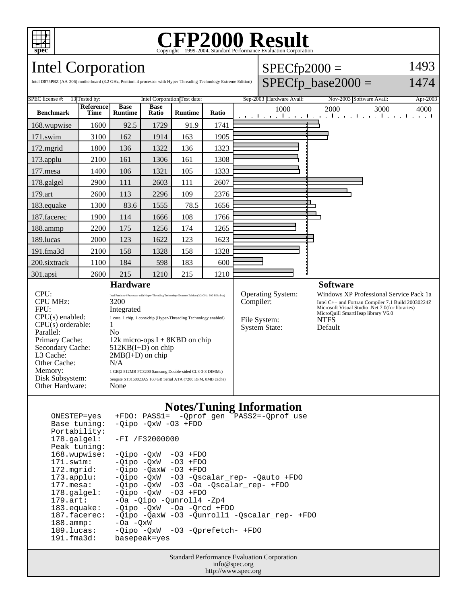

# Copyright ©1999-2004, Standard Performance Evaluation Corporation

## Intel Corporation

| <b>Intel Corporation</b>                                                                                          |                     |                        |               |                | $SPECfp2000 =$ |                      |                          | 1493                     |      |          |
|-------------------------------------------------------------------------------------------------------------------|---------------------|------------------------|---------------|----------------|----------------|----------------------|--------------------------|--------------------------|------|----------|
| Intel D875PBZ (AA-206) motherboard (3.2 GHz, Pentium 4 processor with Hyper-Threading Technology Extreme Edition) |                     |                        |               |                |                | $SPECfp\_base2000 =$ |                          | 1474                     |      |          |
| <b>SPEC</b> license #:<br>13 Tested by:<br>Intel Corporation Test date:                                           |                     |                        |               |                |                |                      | Sep-2003 Hardware Avail: | Nov-2003 Software Avail: |      | Apr-2003 |
| <b>Benchmark</b>                                                                                                  | Reference  <br>Time | Base<br><b>Runtime</b> | Base<br>Ratio | <b>Runtime</b> | Ratio          |                      | 1000                     | 2000                     | 3000 | 4000     |
|                                                                                                                   |                     |                        |               |                |                |                      |                          |                          |      |          |
|                                                                                                                   |                     |                        |               |                |                |                      |                          |                          |      |          |
| 168.wupwise<br>$171$ $\alpha$                                                                                     | 1600<br>2100        | 92.5<br>162            | 1729<br>1014  | 91.9<br>162    | 1741<br>1005 - |                      |                          |                          |      |          |

| $171$ .swim     | 3100 | 162  | 1914 | 163  | 1905 |  |
|-----------------|------|------|------|------|------|--|
| $172$ .mgrid    | 1800 | 136  | 1322 | 136  | 1323 |  |
| 173.applu       | 2100 | 161  | 1306 | 161  | 1308 |  |
| 177.mesa        | 1400 | 106  | 1321 | 105  | 1333 |  |
| 178.galgel      | 2900 | 111  | 2603 | 111  | 2607 |  |
| 179.art         | 2600 | 113  | 2296 | 109  | 2376 |  |
| 183.equake      | 1300 | 83.6 | 1555 | 78.5 | 1656 |  |
| 187.facerec     | 1900 | 114  | 1666 | 108  | 1766 |  |
| 188.ammp        | 2200 | 175  | 1256 | 174  | 1265 |  |
| 189. lucas      | 2000 | 123  | 1622 | 123  | 1623 |  |
| $191$ .fma $3d$ | 2100 | 158  | 1328 | 158  | 1328 |  |
| 200.sixtrack    | 1100 | 184  | 598  | 183  | 600  |  |
| 301.apsi        | 2600 | 215  | 1210 | 215  | 1210 |  |

## **Hardware**

CPU MHz: 3200<br>FPU: 1ntegr  $CPU(s)$  orderable:  $1$ Parallel: No<br>Primary Cache: 12k Other Cache:<br>Memory: Disk Subsystem: Seagate ST3160023AS 160 GB Serial ATA (7200 RPM, 8MB cache)<br>Other Hardware: None Other Hardware:

CPU: Intel Pentium 4 Processor with Hyper-Threading Technology Extreme Edition (3.2 GHz, 800 MHz bus) Integrated CPU(s) enabled: 1 core, 1 chip, 1 core/chip (Hyper-Threading Technology enabled) Primary Cache: 12k micro-ops I + 8KBD on chip<br>Secondary Cache: 512KB(I+D) on chip Secondary Cache: 512KB(I+D) on chip<br>L3 Cache: 2MB(I+D) on chip  $2MB(I+D)$  on chip  $N/A$ 1 GB(2 512MB PC3200 Samsung Double-sided CL3-3-3 DIMMs)

#### **Software**

Operating System: Windows XP Professional Service Pack 1a<br>
Compiler: Intel C++ and Fortran Compiler 7.1 Build 20030224Z Compiler: Intel C++ and Fortran Compiler 7.1 Build 20030224Z Microsoft Visual Studio .Net 7.0(for libraries) MicroQuill SmartHeap library V6.0 File System: NTFS<br>System State: Default

### **Notes/Tuning Information**

System State:

| ONESTEP=yes           | +FDO: PASS1= -Oprof gen PASS2=-Oprof use           |
|-----------------------|----------------------------------------------------|
| Base tuning:          | $-Qipo -QxW -O3 + FDO$                             |
| Portability:          |                                                    |
| $178.\text{qalgel}:$  | $-FI / F32000000$                                  |
| Peak tuning:          |                                                    |
| 168.wupwise:          | -03 +FDO<br>-Oipo -OxW                             |
| 171.swim:             | $-Oipo$ $-OxW$ $-O3$ $+FDO$                        |
| 172.mgrid:            | $-Oipo$ $-OaxW$ $-O3$ $+FDO$                       |
| $173.\text{applu}:$   | -Qipo -QxW -03 -Qscalar rep- -Qauto +FDO           |
| $177.$ mesa:          | $-0$ ipo $-0xW$ $-03$ $-0a$ $-0scalar$ rep- $+FD0$ |
| $178.\text{qalgel}$ : | $-Oipo$ $-OxW$ $-O3$ $+FDO$                        |
| $179.$ art:           | -Oa -Qipo -Qunroll4 -Zp4                           |
| $183$ .equake:        | $-Oipo$ $-OxW$ $-Oa$ $-Orcd$ $+FDO$                |
| 187.facerec:          | -Oipo -OaxW -O3 -Ounroll1 -Oscalar rep- +FDO       |
| $188.\text{amp}:$     | $-Oa - OxW$                                        |
| $189.$ lucas:         | -Qipo -QxW -03 -Qprefetch- +FDO                    |
| 191.fma3d:            | basepeak=yes                                       |

Standard Performance Evaluation Corporation info@spec.org http://www.spec.org